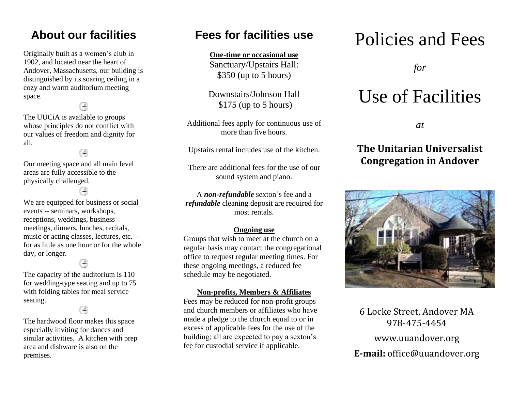### **About our facilities**

Originally built as a women's club in 1902, and located near the heart of Andover, Massachusetts, our building is distinguished by its soaring ceiling in a cozy and warm auditorium meeting space.

The UUCiA is available to groups whose principles do not conflict with our values of freedom and dignity for all.

Our meeting space and all main level areas are fully accessible to the physically challenged.

We are equipped for business or social events -- seminars, workshops, receptions, weddings, business meetings, dinners, lunches, recitals, music or acting classes, lectures, etc. - for as little as one hour or for the whole day, or longer.

The capacity of the auditorium is 110 for wedding-type seating and up to 75 with folding tables for meal service seating.

The hardwood floor makes this space especially inviting for dances and similar activities. A kitchen with prep area and dishware is also on the premises.

### **Fees for facilities use**

**One-time or occasional use**

Sanctuary/Upstairs Hall: \$350 (up to 5 hours)

Downstairs/Johnson Hall \$175 (up to 5 hours)

Additional fees apply for continuous use of more than five hours.

Upstairs rental includes use of the kitchen.

There are additional fees for the use of our sound system and piano.

A *non-refundable* sexton's fee and a *refundable* cleaning deposit are required for most rentals.

#### **Ongoing use**

Groups that wish to meet at the church on a regular basis may contact the congregational office to request regular meeting times. For these ongoing meetings, a reduced fee schedule may be negotiated.

#### **Non-profits, Members & Affiliates**

Fees may be reduced for non-profit groups and church members or affiliates who have made a pledge to the church equal to or in excess of applicable fees for the use of the building; all are expected to pay a sexton's fee for custodial service if applicable.

# Policies and Fees

*for*

# Use of Facilities

*at*

### **The Unitarian Universalist Congregation in Andover**



6 Locke Street, Andover MA 978-475-4454 www.uuandover.org **E-mail:** office@uuandover.org